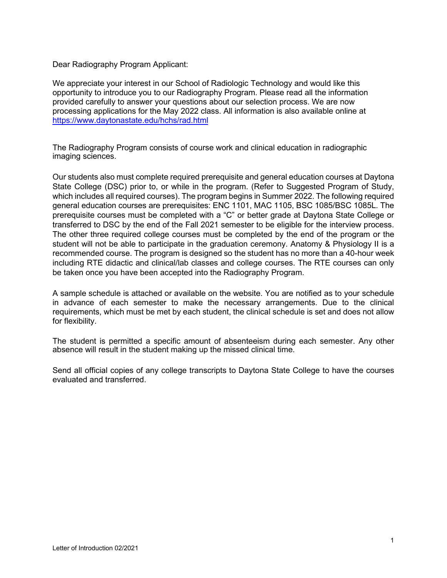Dear Radiography Program Applicant:

We appreciate your interest in our School of Radiologic Technology and would like this opportunity to introduce you to our Radiography Program. Please read all the information provided carefully to answer your questions about our selection process. We are now processing applications for the May 2022 class. All information is also available online at https://www.daytonastate.edu/hchs/rad.html

The Radiography Program consists of course work and clinical education in radiographic imaging sciences.

Our students also must complete required prerequisite and general education courses at Daytona State College (DSC) prior to, or while in the program. (Refer to Suggested Program of Study, which includes all required courses). The program begins in Summer 2022. The following required general education courses are prerequisites: ENC 1101, MAC 1105, BSC 1085/BSC 1085L. The prerequisite courses must be completed with a "C" or better grade at Daytona State College or transferred to DSC by the end of the Fall 2021 semester to be eligible for the interview process. The other three required college courses must be completed by the end of the program or the student will not be able to participate in the graduation ceremony. Anatomy & Physiology II is a recommended course. The program is designed so the student has no more than a 40-hour week including RTE didactic and clinical/lab classes and college courses. The RTE courses can only be taken once you have been accepted into the Radiography Program.

A sample schedule is attached or available on the website. You are notified as to your schedule in advance of each semester to make the necessary arrangements. Due to the clinical requirements, which must be met by each student, the clinical schedule is set and does not allow for flexibility.

The student is permitted a specific amount of absenteeism during each semester. Any other absence will result in the student making up the missed clinical time.

Send all official copies of any college transcripts to Daytona State College to have the courses evaluated and transferred.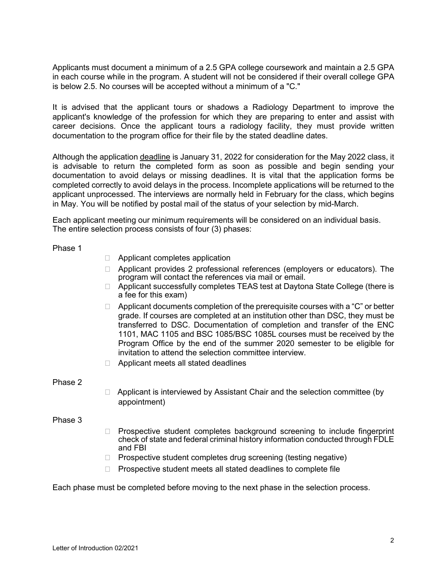Applicants must document a minimum of a 2.5 GPA college coursework and maintain a 2.5 GPA in each course while in the program. A student will not be considered if their overall college GPA is below 2.5. No courses will be accepted without a minimum of a "C."

It is advised that the applicant tours or shadows a Radiology Department to improve the applicant's knowledge of the profession for which they are preparing to enter and assist with career decisions. Once the applicant tours a radiology facility, they must provide written documentation to the program office for their file by the stated deadline dates.

Although the application deadline is January 31, 2022 for consideration for the May 2022 class, it is advisable to return the completed form as soon as possible and begin sending your documentation to avoid delays or missing deadlines. It is vital that the application forms be completed correctly to avoid delays in the process. Incomplete applications will be returned to the applicant unprocessed. The interviews are normally held in February for the class, which begins in May. You will be notified by postal mail of the status of your selection by mid-March.

Each applicant meeting our minimum requirements will be considered on an individual basis. The entire selection process consists of four (3) phases:

Phase 1

- □ Applicant completes application
- □ Applicant provides 2 professional references (employers or educators). The program will contact the references via mail or email.
- □ Applicant successfully completes TEAS test at Daytona State College (there is a fee for this exam)
- $\Box$  Applicant documents completion of the prerequisite courses with a "C" or better grade. If courses are completed at an institution other than DSC, they must be transferred to DSC. Documentation of completion and transfer of the ENC 1101, MAC 1105 and BSC 1085/BSC 1085L courses must be received by the Program Office by the end of the summer 2020 semester to be eligible for invitation to attend the selection committee interview.
- □ Applicant meets all stated deadlines

## Phase 2

 $\Box$  Applicant is interviewed by Assistant Chair and the selection committee (by appointment)

## Phase 3

- $\Box$  Prospective student completes background screening to include fingerprint check of state and federal criminal history information conducted through FDLE and FBI
- $\Box$  Prospective student completes drug screening (testing negative)
- $\Box$  Prospective student meets all stated deadlines to complete file

Each phase must be completed before moving to the next phase in the selection process.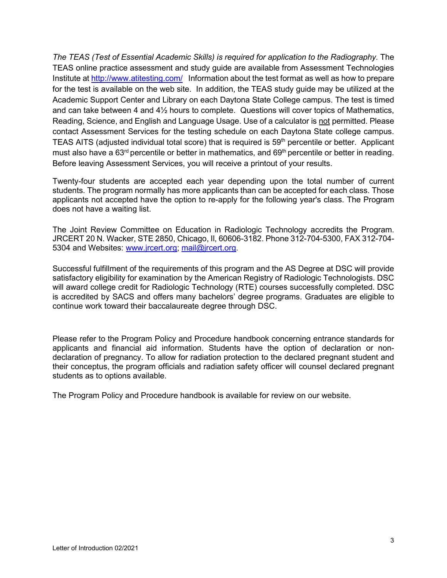*The TEAS (Test of Essential Academic Skills) is required for application to the Radiography.* The TEAS online practice assessment and study guide are available from Assessment Technologies Institute at<http://www.atitesting.com/>Information about the test format as well as how to prepare for the test is available on the web site. In addition, the TEAS study guide may be utilized at the Academic Support Center and Library on each Daytona State College campus. The test is timed and can take between 4 and 4½ hours to complete. Questions will cover topics of Mathematics, Reading, Science, and English and Language Usage. Use of a calculator is not permitted. Please contact Assessment Services for the testing schedule on each Daytona State college campus. TEAS AITS (adjusted individual total score) that is required is 59<sup>th</sup> percentile or better. Applicant must also have a  $63<sup>rd</sup>$  percentile or better in mathematics, and  $69<sup>th</sup>$  percentile or better in reading. Before leaving Assessment Services, you will receive a printout of your results.

Twenty-four students are accepted each year depending upon the total number of current students. The program normally has more applicants than can be accepted for each class. Those applicants not accepted have the option to re-apply for the following year's class. The Program does not have a waiting list.

The Joint Review Committee on Education in Radiologic Technology accredits the Program. JRCERT 20 N. Wacker, STE 2850, Chicago, Il, 60606-3182. Phone 312-704-5300, FAX 312-704- 5304 and Websites: www.jrcert.org; mail@jrcert.org.

Successful fulfillment of the requirements of this program and the AS Degree at DSC will provide satisfactory eligibility for examination by the American Registry of Radiologic Technologists. DSC will award college credit for Radiologic Technology (RTE) courses successfully completed. DSC is accredited by SACS and offers many bachelors' degree programs. Graduates are eligible to continue work toward their baccalaureate degree through DSC.

Please refer to the Program Policy and Procedure handbook concerning entrance standards for applicants and financial aid information. Students have the option of declaration or nondeclaration of pregnancy. To allow for radiation protection to the declared pregnant student and their conceptus, the program officials and radiation safety officer will counsel declared pregnant students as to options available.

The Program Policy and Procedure handbook is available for review on our website.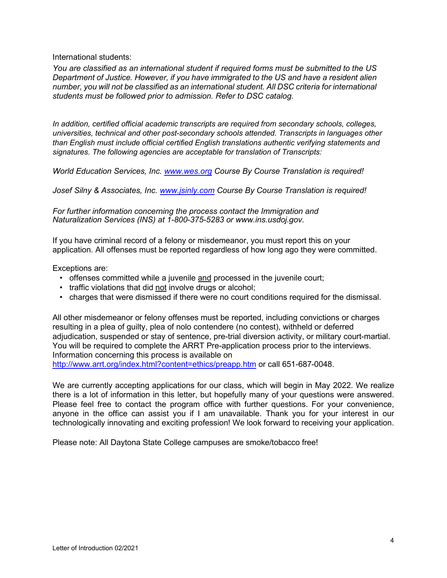International students:

*You are classified as an international student if required forms must be submitted to the US Department of Justice. However, if you have immigrated to the US and have a resident alien number, you will not be classified as an international student. All DSC criteria for international students must be followed prior to admission. Refer to DSC catalog.*

*In addition, certified official academic transcripts are required from secondary schools, colleges, universities, technical and other post-secondary schools attended. Transcripts in languages other than English must include official certified English translations authentic verifying statements and signatures. The following agencies are acceptable for translation of Transcripts:*

*World Education Services, Inc. www.wes.org Course By Course Translation is required!*

*Josef Silny & Associates, Inc. www.jsinly.com Course By Course Translation is required!*

*For further information concerning the process contact the Immigration and Naturalization Services (INS) at 1-800-375-5283 or www.ins.usdoj.gov.*

If you have criminal record of a felony or misdemeanor, you must report this on your application. All offenses must be reported regardless of how long ago they were committed.

Exceptions are:

- offenses committed while a juvenile and processed in the juvenile court;
- traffic violations that did not involve drugs or alcohol;
- charges that were dismissed if there were no court conditions required for the dismissal.

All other misdemeanor or felony offenses must be reported, including convictions or charges resulting in a plea of guilty, plea of nolo contendere (no contest), withheld or deferred adjudication, suspended or stay of sentence, pre-trial diversion activity, or military court-martial. You will be required to complete the ARRT Pre-application process prior to the interviews. Information concerning this process is available on

<http://www.arrt.org/index.html?content=ethics/preapp.htm> or call 651-687-0048.

We are currently accepting applications for our class, which will begin in May 2022. We realize there is a lot of information in this letter, but hopefully many of your questions were answered. Please feel free to contact the program office with further questions. For your convenience, anyone in the office can assist you if I am unavailable. Thank you for your interest in our technologically innovating and exciting profession! We look forward to receiving your application.

Please note: All Daytona State College campuses are smoke/tobacco free!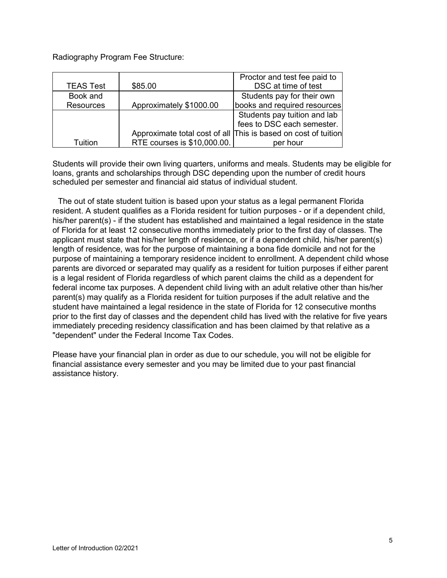Radiography Program Fee Structure:

| <b>TEAS Test</b> | \$85.00                     | Proctor and test fee paid to<br>DSC at time of test            |
|------------------|-----------------------------|----------------------------------------------------------------|
| Book and         |                             | Students pay for their own                                     |
| <b>Resources</b> | Approximately \$1000.00     | books and required resources                                   |
|                  |                             | Students pay tuition and lab                                   |
|                  |                             | fees to DSC each semester.                                     |
|                  |                             | Approximate total cost of all This is based on cost of tuition |
| Tuition          | RTE courses is \$10,000.00. | per hour                                                       |

Students will provide their own living quarters, uniforms and meals. Students may be eligible for loans, grants and scholarships through DSC depending upon the number of credit hours scheduled per semester and financial aid status of individual student.

The out of state student tuition is based upon your status as a legal permanent Florida resident. A student qualifies as a Florida resident for tuition purposes - or if a dependent child, his/her parent(s) - if the student has established and maintained a legal residence in the state of Florida for at least 12 consecutive months immediately prior to the first day of classes. The applicant must state that his/her length of residence, or if a dependent child, his/her parent(s) length of residence, was for the purpose of maintaining a bona fide domicile and not for the purpose of maintaining a temporary residence incident to enrollment. A dependent child whose parents are divorced or separated may qualify as a resident for tuition purposes if either parent is a legal resident of Florida regardless of which parent claims the child as a dependent for federal income tax purposes. A dependent child living with an adult relative other than his/her parent(s) may qualify as a Florida resident for tuition purposes if the adult relative and the student have maintained a legal residence in the state of Florida for 12 consecutive months prior to the first day of classes and the dependent child has lived with the relative for five years immediately preceding residency classification and has been claimed by that relative as a "dependent" under the Federal Income Tax Codes.

Please have your financial plan in order as due to our schedule, you will not be eligible for financial assistance every semester and you may be limited due to your past financial assistance history.